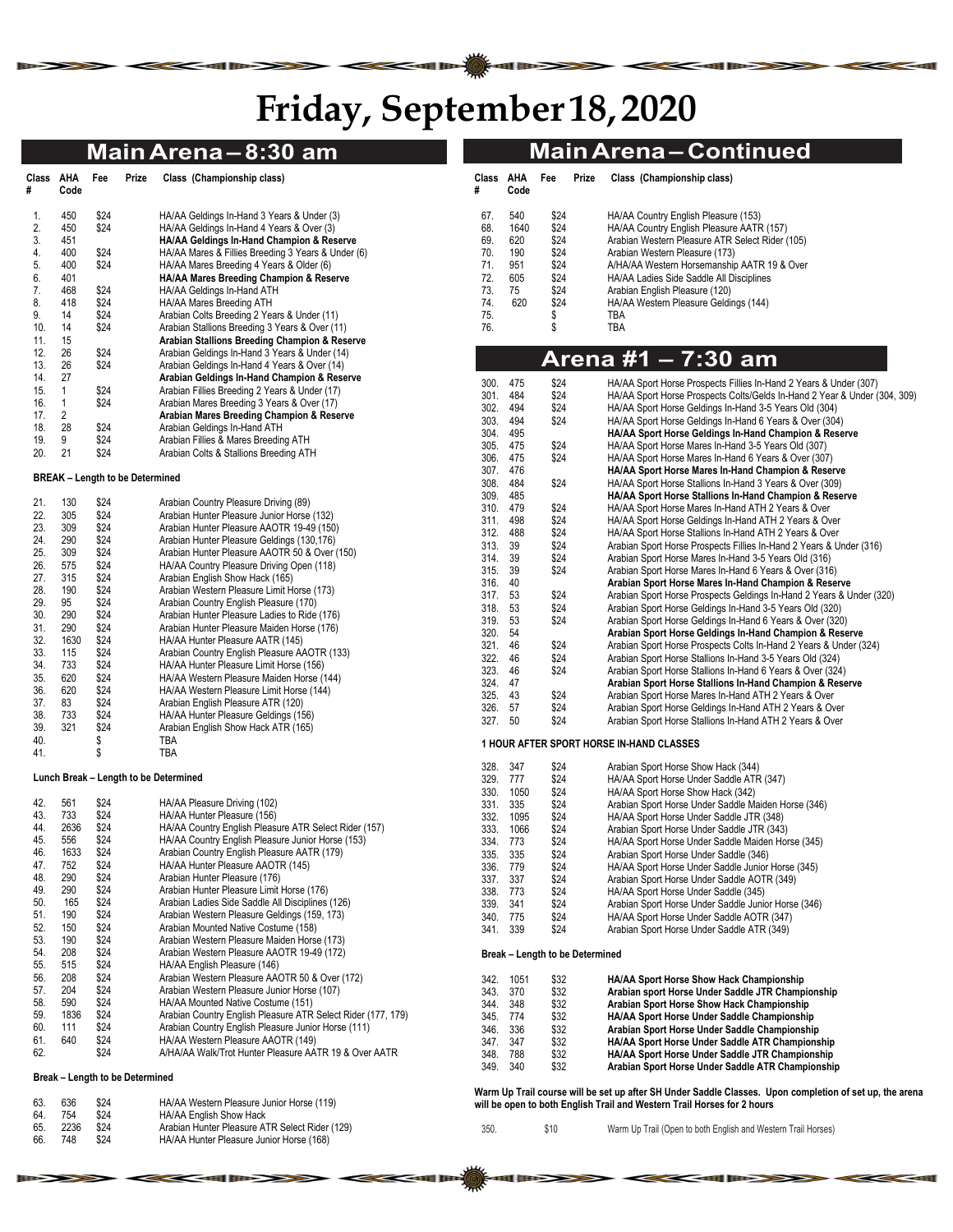# **Friday, September 18, 2020**

|            |              |              |                                        | Main Arena - 8:30 am                                                                       |                    |                      |                                 |       | <b>Main Arena-Continued</b>                                                                                     |
|------------|--------------|--------------|----------------------------------------|--------------------------------------------------------------------------------------------|--------------------|----------------------|---------------------------------|-------|-----------------------------------------------------------------------------------------------------------------|
| Class AHA  |              | Fee          | Prize                                  | Class (Championship class)                                                                 | Class AHA          |                      | Fee                             | Prize | Class (Championship class)                                                                                      |
| #          | Code         |              |                                        |                                                                                            | #                  | Code                 |                                 |       |                                                                                                                 |
| 1.         | 450          | \$24         |                                        | HA/AA Geldings In-Hand 3 Years & Under (3)                                                 | 67.                | 540                  | \$24                            |       | HA/AA Country English Pleasure (153)                                                                            |
| 2.         | 450          | \$24         |                                        | HA/AA Geldings In-Hand 4 Years & Over (3)                                                  | 68.                | 1640                 | \$24                            |       | HA/AA Country English Pleasure AATR (157)                                                                       |
| 3.         | 451          |              |                                        | HA/AA Geldings In-Hand Champion & Reserve                                                  | 69.                | 620                  | \$24                            |       | Arabian Western Pleasure ATR Select Rider (105)                                                                 |
| 4.         | 400          | \$24         |                                        | HA/AA Mares & Fillies Breeding 3 Years & Under (6)                                         | 70.                | 190                  | \$24                            |       | Arabian Western Pleasure (173)                                                                                  |
| 5.         | 400          | \$24         |                                        | HA/AA Mares Breeding 4 Years & Older (6)                                                   | 71.                | 951                  | \$24                            |       | A/HA/AA Western Horsemanship AATR 19 & Over                                                                     |
| 6.         | 401          |              |                                        | HA/AA Mares Breeding Champion & Reserve                                                    | 72.                | 605                  | \$24                            |       | HA/AA Ladies Side Saddle All Disciplines                                                                        |
| 7.<br>8.   | 468<br>418   | \$24<br>\$24 |                                        | HA/AA Geldings In-Hand ATH<br>HA/AA Mares Breeding ATH                                     | 73.<br>74.         | 75<br>620            | \$24<br>\$24                    |       | Arabian English Pleasure (120)<br>HA/AA Western Pleasure Geldings (144)                                         |
| 9.         | 14           | \$24         |                                        | Arabian Colts Breeding 2 Years & Under (11)                                                | 75.                |                      | \$                              |       | TBA                                                                                                             |
| 10.        | 14           | \$24         |                                        | Arabian Stallions Breeding 3 Years & Over (11)                                             | 76.                |                      | \$                              |       | TBA                                                                                                             |
| 11.        | 15           |              |                                        | Arabian Stallions Breeding Champion & Reserve                                              |                    |                      |                                 |       |                                                                                                                 |
| 12.        | 26           | \$24         |                                        | Arabian Geldings In-Hand 3 Years & Under (14)                                              |                    |                      |                                 |       |                                                                                                                 |
| 13.        | 26           | \$24         |                                        | Arabian Geldings In-Hand 4 Years & Over (14)                                               |                    |                      |                                 |       | Arena #1 – 7:30 am                                                                                              |
| 14.        | 27           |              |                                        | Arabian Geldings In-Hand Champion & Reserve                                                | 300.               | 475                  | \$24                            |       | HA/AA Sport Horse Prospects Fillies In-Hand 2 Years & Under (307)                                               |
| 15.        | $\mathbf{1}$ | \$24         |                                        | Arabian Fillies Breeding 2 Years & Under (17)                                              | 301.               | 484                  | \$24                            |       | HA/AA Sport Horse Prospects Colts/Gelds In-Hand 2 Year & Under (304, 309)                                       |
| 16.        | $\mathbf{1}$ | \$24         |                                        | Arabian Mares Breeding 3 Years & Over (17)                                                 | 302.               | 494                  | \$24                            |       | HA/AA Sport Horse Geldings In-Hand 3-5 Years Old (304)                                                          |
| 17.        | 2            |              |                                        | Arabian Mares Breeding Champion & Reserve                                                  | 303.               | 494                  | \$24                            |       | HA/AA Sport Horse Geldings In-Hand 6 Years & Over (304)                                                         |
| 18.        | 28           | \$24         |                                        | Arabian Geldings In-Hand ATH                                                               | 304.               | 495                  |                                 |       | HA/AA Sport Horse Geldings In-Hand Champion & Reserve                                                           |
| 19.<br>20. | 9<br>21      | \$24<br>\$24 |                                        | Arabian Fillies & Mares Breeding ATH                                                       | 305.               | 475                  | \$24                            |       | HA/AA Sport Horse Mares In-Hand 3-5 Years Old (307)                                                             |
|            |              |              |                                        | Arabian Colts & Stallions Breeding ATH                                                     | 306.               | 475                  | \$24                            |       | HA/AA Sport Horse Mares In-Hand 6 Years & Over (307)                                                            |
|            |              |              | <b>BREAK - Length to be Determined</b> |                                                                                            | 307. 476           |                      |                                 |       | HA/AA Sport Horse Mares In-Hand Champion & Reserve                                                              |
|            |              |              |                                        |                                                                                            | 308.               | 484                  | \$24                            |       | HA/AA Sport Horse Stallions In-Hand 3 Years & Over (309)                                                        |
| 21.        | 130          | \$24         |                                        | Arabian Country Pleasure Driving (89)                                                      | 309.               | 485                  |                                 |       | HA/AA Sport Horse Stallions In-Hand Champion & Reserve                                                          |
| 22.        | 305          | \$24         |                                        | Arabian Hunter Pleasure Junior Horse (132)                                                 | 310. 479           | 498                  | \$24                            |       | HA/AA Sport Horse Mares In-Hand ATH 2 Years & Over                                                              |
| 23.        | 309          | \$24         |                                        | Arabian Hunter Pleasure AAOTR 19-49 (150)                                                  | 311.<br>312. 488   |                      | \$24<br>\$24                    |       | HA/AA Sport Horse Geldings In-Hand ATH 2 Years & Over<br>HA/AA Sport Horse Stallions In-Hand ATH 2 Years & Over |
| 24.        | 290          | \$24         |                                        | Arabian Hunter Pleasure Geldings (130,176)                                                 | 313.               | 39                   | \$24                            |       | Arabian Sport Horse Prospects Fillies In-Hand 2 Years & Under (316)                                             |
| 25.        | 309          | \$24         |                                        | Arabian Hunter Pleasure AAOTR 50 & Over (150)                                              | 314.               | 39                   | \$24                            |       | Arabian Sport Horse Mares In-Hand 3-5 Years Old (316)                                                           |
| 26.        | 575          | \$24         |                                        | HA/AA Country Pleasure Driving Open (118)                                                  | 315. 39            |                      | \$24                            |       | Arabian Sport Horse Mares In-Hand 6 Years & Over (316)                                                          |
| 27.        | 315          | \$24         |                                        | Arabian English Show Hack (165)                                                            | 316. 40            |                      |                                 |       | Arabian Sport Horse Mares In-Hand Champion & Reserve                                                            |
| 28.        | 190          | \$24         |                                        | Arabian Western Pleasure Limit Horse (173)                                                 | 317. 53            |                      | \$24                            |       | Arabian Sport Horse Prospects Geldings In-Hand 2 Years & Under (320)                                            |
| 29.        | 95           | \$24         |                                        | Arabian Country English Pleasure (170)                                                     | 318. 53            |                      | \$24                            |       | Arabian Sport Horse Geldings In-Hand 3-5 Years Old (320)                                                        |
| 30.<br>31. | 290<br>290   | \$24         |                                        | Arabian Hunter Pleasure Ladies to Ride (176)                                               | 319.               | 53                   | \$24                            |       | Arabian Sport Horse Geldings In-Hand 6 Years & Over (320)                                                       |
| 32.        | 1630         | \$24<br>\$24 |                                        | Arabian Hunter Pleasure Maiden Horse (176)<br>HA/AA Hunter Pleasure AATR (145)             | 320.               | 54                   |                                 |       | Arabian Sport Horse Geldings In-Hand Champion & Reserve                                                         |
| 33.        | 115          | \$24         |                                        | Arabian Country English Pleasure AAOTR (133)                                               | 321.               | 46                   | \$24                            |       | Arabian Sport Horse Prospects Colts In-Hand 2 Years & Under (324)                                               |
| 34.        | 733          | \$24         |                                        | HA/AA Hunter Pleasure Limit Horse (156)                                                    | 322.               | 46                   | \$24                            |       | Arabian Sport Horse Stallions In-Hand 3-5 Years Old (324)                                                       |
| 35.        | 620          | \$24         |                                        | HA/AA Western Pleasure Maiden Horse (144)                                                  | 323.               | 46                   | \$24                            |       | Arabian Sport Horse Stallions In-Hand 6 Years & Over (324)                                                      |
| 36.        | 620          | \$24         |                                        | HA/AA Western Pleasure Limit Horse (144)                                                   | 324. 47<br>325. 43 |                      | \$24                            |       | Arabian Sport Horse Stallions In-Hand Champion & Reserve                                                        |
| 37.        | 83           | \$24         |                                        | Arabian English Pleasure ATR (120)                                                         | 326. 57            |                      | \$24                            |       | Arabian Sport Horse Mares In-Hand ATH 2 Years & Over<br>Arabian Sport Horse Geldings In-Hand ATH 2 Years & Over |
| 38.        | 733          | \$24         |                                        | HA/AA Hunter Pleasure Geldings (156)                                                       | 327. 50            |                      | \$24                            |       | Arabian Sport Horse Stallions In-Hand ATH 2 Years & Over                                                        |
| 39.        | 321          | \$24         |                                        | Arabian English Show Hack ATR (165)                                                        |                    |                      |                                 |       |                                                                                                                 |
| 40.        |              | \$           |                                        | TBA                                                                                        |                    |                      |                                 |       | <b>1 HOUR AFTER SPORT HORSE IN-HAND CLASSES</b>                                                                 |
| 41.        |              | \$           |                                        | TBA                                                                                        |                    |                      |                                 |       |                                                                                                                 |
|            |              |              |                                        | Lunch Break - Length to be Determined                                                      |                    | 328. 347<br>329. 777 | \$24<br>\$24                    |       | Arabian Sport Horse Show Hack (344)<br>HA/AA Sport Horse Under Saddle ATR (347)                                 |
|            |              |              |                                        |                                                                                            | 330.               | 1050                 | \$24                            |       | HA/AA Sport Horse Show Hack (342)                                                                               |
| 42.        | 561          | \$24         |                                        | HA/AA Pleasure Driving (102)                                                               | 331.               | 335                  | \$24                            |       | Arabian Sport Horse Under Saddle Maiden Horse (346)                                                             |
| 43.        | 733          | \$24         |                                        | HA/AA Hunter Pleasure (156)                                                                | 332.               | 1095                 | \$24                            |       | HA/AA Sport Horse Under Saddle JTR (348)                                                                        |
| 44.        | 2636         | \$24         |                                        | HA/AA Country English Pleasure ATR Select Rider (157)                                      | 333.               | 1066                 | \$24                            |       | Arabian Sport Horse Under Saddle JTR (343)                                                                      |
| 45.        | 556          | \$24         |                                        | HA/AA Country English Pleasure Junior Horse (153)                                          |                    | 334. 773             | \$24                            |       | HA/AA Sport Horse Under Saddle Maiden Horse (345)                                                               |
| 46.        | 1633         | \$24         |                                        | Arabian Country English Pleasure AATR (179)                                                |                    | 335. 335             | \$24                            |       | Arabian Sport Horse Under Saddle (346)                                                                          |
| 47.        | 752          | \$24         |                                        | HA/AA Hunter Pleasure AAOTR (145)                                                          | 336.               | 779                  | \$24                            |       | HA/AA Sport Horse Under Saddle Junior Horse (345)                                                               |
| 48.        | 290          | \$24         |                                        | Arabian Hunter Pleasure (176)                                                              | 337.               | 337                  | \$24                            |       | Arabian Sport Horse Under Saddle AOTR (349)                                                                     |
| 49.        | 290          | \$24         |                                        | Arabian Hunter Pleasure Limit Horse (176)                                                  |                    | 338. 773             | \$24                            |       | HA/AA Sport Horse Under Saddle (345)                                                                            |
| 50.        | 165          | \$24         |                                        | Arabian Ladies Side Saddle All Disciplines (126)                                           | 339.               | 341                  | \$24                            |       | Arabian Sport Horse Under Saddle Junior Horse (346)                                                             |
| 51.<br>52. | 190<br>150   | \$24<br>\$24 |                                        | Arabian Western Pleasure Geldings (159, 173)<br>Arabian Mounted Native Costume (158)       |                    | 340. 775             | \$24                            |       | HA/AA Sport Horse Under Saddle AOTR (347)                                                                       |
| 53.        | 190          | \$24         |                                        | Arabian Western Pleasure Maiden Horse (173)                                                |                    | 341. 339             | \$24                            |       | Arabian Sport Horse Under Saddle ATR (349)                                                                      |
| 54.        | 208          | \$24         |                                        | Arabian Western Pleasure AAOTR 19-49 (172)                                                 |                    |                      | Break - Length to be Determined |       |                                                                                                                 |
| 55.        | 515          | \$24         |                                        | HA/AA English Pleasure (146)                                                               |                    |                      |                                 |       |                                                                                                                 |
| 56.        | 208          | \$24         |                                        | Arabian Western Pleasure AAOTR 50 & Over (172)                                             | 342.               | 1051                 | \$32                            |       | HA/AA Sport Horse Show Hack Championship                                                                        |
| 57.        | 204          | \$24         |                                        | Arabian Western Pleasure Junior Horse (107)                                                | 343.               | 370                  | \$32                            |       | Arabian sport Horse Under Saddle JTR Championship                                                               |
| 58.        | 590          | \$24         |                                        | HA/AA Mounted Native Costume (151)                                                         | 344.               | 348                  | \$32                            |       | Arabian Sport Horse Show Hack Championship                                                                      |
| 59.        | 1836         | \$24         |                                        | Arabian Country English Pleasure ATR Select Rider (177, 179)                               |                    | 345. 774             | \$32                            |       | HA/AA Sport Horse Under Saddle Championship                                                                     |
| 60.        | 111          | \$24         |                                        | Arabian Country English Pleasure Junior Horse (111)                                        | 346.               | 336                  | \$32                            |       | Arabian Sport Horse Under Saddle Championship                                                                   |
| 61.        | 640          | \$24         |                                        | HA/AA Western Pleasure AAOTR (149)                                                         | 347.               | 347                  | \$32                            |       | HA/AA Sport Horse Under Saddle ATR Championship                                                                 |
| 62.        |              | \$24         |                                        | A/HA/AA Walk/Trot Hunter Pleasure AATR 19 & Over AATR                                      |                    | 348. 788             | \$32                            |       | HA/AA Sport Horse Under Saddle JTR Championship                                                                 |
|            |              |              | Break - Length to be Determined        |                                                                                            |                    | 349. 340             | \$32                            |       | Arabian Sport Horse Under Saddle ATR Championship                                                               |
|            |              |              |                                        |                                                                                            |                    |                      |                                 |       | Warm Up Trail course will be set up after SH Under Saddle Classes. Upon completion of set up, the arena         |
| 63.        | 636          | \$24         |                                        | HA/AA Western Pleasure Junior Horse (119)                                                  |                    |                      |                                 |       | will be open to both English Trail and Western Trail Horses for 2 hours                                         |
| 64.        | 754          | \$24         |                                        | HA/AA English Show Hack                                                                    |                    |                      |                                 |       |                                                                                                                 |
| 65.<br>66. | 2236<br>748  | \$24<br>\$24 |                                        | Arabian Hunter Pleasure ATR Select Rider (129)<br>HA/AA Hunter Pleasure Junior Horse (168) | 350.               |                      | \$10                            |       | Warm Up Trail (Open to both English and Western Trail Horses)                                                   |
|            |              |              |                                        |                                                                                            |                    |                      |                                 |       |                                                                                                                 |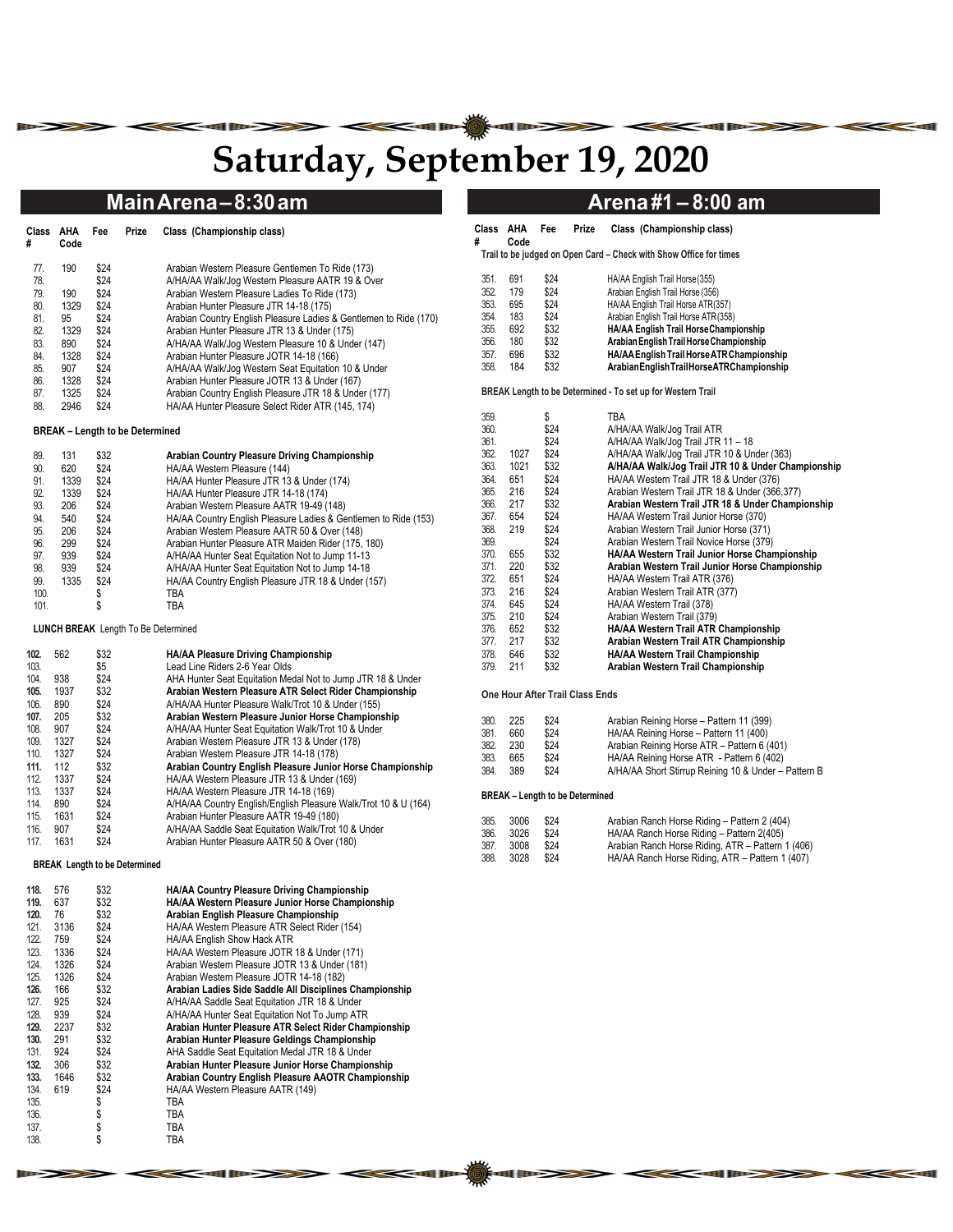# **Saturday, September 19, 2020**

| Class<br># | AHA<br>Code | Fee  | Prize | Class (Championship class)                                        |
|------------|-------------|------|-------|-------------------------------------------------------------------|
| 77.        | 190         | \$24 |       | Arabian Western Pleasure Gentlemen To Ride (173)                  |
| 78.        |             | \$24 |       | A/HA/AA Walk/Jog Western Pleasure AATR 19 & Over                  |
| 79.        | 190         | \$24 |       | Arabian Western Pleasure Ladies To Ride (173)                     |
| 80.        | 1329        | \$24 |       | Arabian Hunter Pleasure JTR 14-18 (175)                           |
| 81.        | 95          | \$24 |       | Arabian Country English Pleasure Ladies & Gentlemen to Ride (170) |
| 82.        | 1329        | \$24 |       | Arabian Hunter Pleasure JTR 13 & Under (175)                      |
| 83.        | 890         | \$24 |       | A/HA/AA Walk/Jog Western Pleasure 10 & Under (147)                |
| 84.        | 1328        | \$24 |       | Arabian Hunter Pleasure JOTR 14-18 (166)                          |
| 85.        | 907         | \$24 |       | A/HA/AA Walk/Jog Western Seat Equitation 10 & Under               |
| 86.        | 1328        | \$24 |       | Arabian Hunter Pleasure JOTR 13 & Under (167)                     |
| 87.        | 1325        | \$24 |       | Arabian Country English Pleasure JTR 18 & Under (177)             |
| 88.        | 2946        | \$24 |       | HA/AA Hunter Pleasure Select Rider ATR (145, 174)                 |

#### **BREAK – Length to be Determined**

| 131  | \$32 | Arabian Country Pleasure Driving Championship                   |
|------|------|-----------------------------------------------------------------|
| 620  | \$24 | HA/AA Western Pleasure (144)                                    |
| 1339 | \$24 | HA/AA Hunter Pleasure JTR 13 & Under (174)                      |
| 1339 | \$24 | HA/AA Hunter Pleasure JTR 14-18 (174)                           |
| 206  | \$24 | Arabian Western Pleasure AATR 19-49 (148)                       |
| 540  | \$24 | HA/AA Country English Pleasure Ladies & Gentlemen to Ride (153) |
| 206  | \$24 | Arabian Western Pleasure AATR 50 & Over (148)                   |
| 299  | \$24 | Arabian Hunter Pleasure ATR Maiden Rider (175, 180)             |
| 939  | \$24 | A/HA/AA Hunter Seat Equitation Not to Jump 11-13                |
| 939  | \$24 | A/HA/AA Hunter Seat Equitation Not to Jump 14-18                |
| 1335 | \$24 | HA/AA Country English Pleasure JTR 18 & Under (157)             |
|      | \$   | TBA                                                             |
|      |      | TBA                                                             |
|      |      |                                                                 |

#### **LUNCH BREAK** Length To Be Determined

| 102. | 562  | \$32 | HA/AA Pleasure Driving Championship                             |
|------|------|------|-----------------------------------------------------------------|
| 103. |      | \$5  | Lead Line Riders 2-6 Year Olds                                  |
| 104. | 938  | \$24 | AHA Hunter Seat Equitation Medal Not to Jump JTR 18 & Under     |
| 105. | 1937 | \$32 | Arabian Western Pleasure ATR Select Rider Championship          |
| 106. | 890  | \$24 | A/HA/AA Hunter Pleasure Walk/Trot 10 & Under (155)              |
| 107. | 205  | \$32 | Arabian Western Pleasure Junior Horse Championship              |
| 108. | 907  | \$24 | A/HA/AA Hunter Seat Equitation Walk/Trot 10 & Under             |
| 109. | 1327 | \$24 | Arabian Western Pleasure JTR 13 & Under (178)                   |
| 110. | 1327 | \$24 | Arabian Western Pleasure JTR 14-18 (178)                        |
| 111. | 112  | \$32 | Arabian Country English Pleasure Junior Horse Championship      |
| 112. | 1337 | \$24 | HA/AA Western Pleasure JTR 13 & Under (169)                     |
| 113. | 1337 | \$24 | HA/AA Western Pleasure JTR 14-18 (169)                          |
| 114. | 890  | \$24 | A/HA/AA Country English/English Pleasure Walk/Trot 10 & U (164) |
| 115. | 1631 | \$24 | Arabian Hunter Pleasure AATR 19-49 (180)                        |
| 116. | 907  | \$24 | A/HA/AA Saddle Seat Equitation Walk/Trot 10 & Under             |
| 117. | 1631 | \$24 | Arabian Hunter Pleasure AATR 50 & Over (180)                    |

**BREAK Length to be Determined** 

| 118. | 576  | \$32 | HA/AA Country Pleasure Driving Championship             |
|------|------|------|---------------------------------------------------------|
| 119. | 637  | \$32 | HA/AA Western Pleasure Junior Horse Championship        |
| 120. | 76   | \$32 | Arabian English Pleasure Championship                   |
| 121. | 3136 | \$24 | HA/AA Western Pleasure ATR Select Rider (154)           |
| 122. | 759  | \$24 | HA/AA English Show Hack ATR                             |
| 123. | 1336 | \$24 | HA/AA Western Pleasure JOTR 18 & Under (171)            |
| 124. | 1326 | \$24 | Arabian Western Pleasure JOTR 13 & Under (181)          |
| 125. | 1326 | \$24 | Arabian Western Pleasure JOTR 14-18 (182)               |
| 126. | 166  | \$32 | Arabian Ladies Side Saddle All Disciplines Championship |
| 127. | 925  | \$24 | A/HA/AA Saddle Seat Equitation JTR 18 & Under           |
| 128. | 939  | \$24 | A/HA/AA Hunter Seat Equitation Not To Jump ATR          |
| 129. | 2237 | \$32 | Arabian Hunter Pleasure ATR Select Rider Championship   |
| 130. | 291  | \$32 | Arabian Hunter Pleasure Geldings Championship           |
| 131. | 924  | \$24 | AHA Saddle Seat Equitation Medal JTR 18 & Under         |
| 132. | 306  | \$32 | Arabian Hunter Pleasure Junior Horse Championship       |
| 133. | 1646 | \$32 | Arabian Country English Pleasure AAOTR Championship     |
| 134. | 619  | \$24 | HA/AA Western Pleasure AATR (149)                       |
| 135. |      | \$   | TBA                                                     |
| 136. |      | \$   | TBA                                                     |
| 137. |      | \$   | TBA                                                     |
| 138. |      | \$   | TBA                                                     |
|      |      |      |                                                         |

## **Main Arena – 8:30 am 1988 1999 10:00 Arena #1 – 8:00 am**

| Class<br>#                                                  | AHA<br>Code                                          | Fee                                                          | <b>Prize</b> | Class (Championship class)                                                                                                                                                                                                                                                                                                        |
|-------------------------------------------------------------|------------------------------------------------------|--------------------------------------------------------------|--------------|-----------------------------------------------------------------------------------------------------------------------------------------------------------------------------------------------------------------------------------------------------------------------------------------------------------------------------------|
|                                                             |                                                      |                                                              |              | Trail to be judged on Open Card - Check with Show Office for times                                                                                                                                                                                                                                                                |
| 351.<br>352<br>353.<br>354.<br>355.<br>356.<br>357.<br>358. | 691<br>179<br>695<br>183<br>692<br>180<br>696<br>184 | \$24<br>\$24<br>\$24<br>\$24<br>\$32<br>\$32<br>\$32<br>\$32 |              | HA/AA English Trail Horse (355)<br>Arabian English Trail Horse (356)<br>HA/AA English Trail Horse ATR(357)<br>Arabian English Trail Horse ATR(358)<br>HA/AA English Trail Horse Championship<br>Arabian English Trail Horse Championship<br>HA/AA English Trail Horse ATR Championship<br>ArabianEnglishTrailHorseATRChampionship |

**BREAK Length to be Determined - To set up for Western Trail** 

| 359. |      | \$   | TBA                                                |
|------|------|------|----------------------------------------------------|
| 360. |      | \$24 | A/HA/AA Walk/Jog Trail ATR                         |
| 361. |      | \$24 | A/HA/AA Walk/Jog Trail JTR 11 - 18                 |
| 362. | 1027 | \$24 | A/HA/AA Walk/Jog Trail JTR 10 & Under (363)        |
| 363. | 1021 | \$32 | A/HA/AA Walk/Jog Trail JTR 10 & Under Championship |
| 364. | 651  | \$24 | HA/AA Western Trail JTR 18 & Under (376)           |
| 365. | 216  | \$24 | Arabian Western Trail JTR 18 & Under (366,377)     |
| 366. | 217  | \$32 | Arabian Western Trail JTR 18 & Under Championship  |
| 367. | 654  | \$24 | HA/AA Western Trail Junior Horse (370)             |
| 368. | 219  | \$24 | Arabian Western Trail Junior Horse (371)           |
| 369. |      | \$24 | Arabian Western Trail Novice Horse (379)           |
| 370. | 655  | \$32 | HA/AA Western Trail Junior Horse Championship      |
| 371. | 220  | \$32 | Arabian Western Trail Junior Horse Championship    |
| 372. | 651  | \$24 | HA/AA Western Trail ATR (376)                      |
| 373. | 216  | \$24 | Arabian Western Trail ATR (377)                    |
| 374. | 645  | \$24 | HA/AA Western Trail (378)                          |
| 375. | 210  | \$24 | Arabian Western Trail (379)                        |
| 376. | 652  | \$32 | HA/AA Western Trail ATR Championship               |
| 377. | 217  | \$32 | Arabian Western Trail ATR Championship             |
| 378. | 646  | \$32 | HA/AA Western Trail Championship                   |
| 379. | 211  | \$32 | Arabian Western Trail Championship                 |

#### **One Hour After Trail Class Ends**

| 380. | 225 | \$24 | Arabian Reining Horse - Pattern 11 (399)             |
|------|-----|------|------------------------------------------------------|
| 381. | 660 | \$24 | HA/AA Reining Horse - Pattern 11 (400)               |
| 382. | 230 | \$24 | Arabian Reining Horse ATR - Pattern 6 (401)          |
| 383. | 665 | \$24 | HA/AA Reining Horse ATR - Pattern 6 (402)            |
| 384. | 389 | \$24 | A/HA/AA Short Stirrup Reining 10 & Under - Pattern B |

### **BREAK – Length to be Determined**

| 385. | 3006 | \$24 | Arabian Ranch Horse Riding - Pattern 2 (404)      |
|------|------|------|---------------------------------------------------|
| 386. | 3026 | \$24 | HA/AA Ranch Horse Riding - Pattern 2(405)         |
| 387. | 3008 | \$24 | Arabian Ranch Horse Riding, ATR - Pattern 1 (406) |
| 388. | 3028 | \$24 | HA/AA Ranch Horse Riding, ATR - Pattern 1 (407)   |